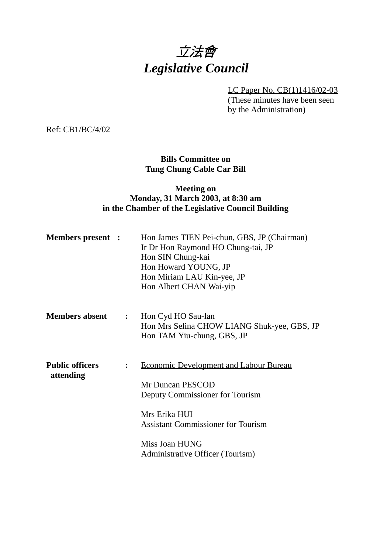# 立法會 *Legislative Council*

LC Paper No. CB(1)1416/02-03

(These minutes have been seen by the Administration)

Ref: CB1/BC/4/02

# **Bills Committee on Tung Chung Cable Car Bill**

# **Meeting on Monday, 31 March 2003, at 8:30 am in the Chamber of the Legislative Council Building**

| <b>Members present :</b>            |                | Hon James TIEN Pei-chun, GBS, JP (Chairman)<br>Ir Dr Hon Raymond HO Chung-tai, JP<br>Hon SIN Chung-kai<br>Hon Howard YOUNG, JP<br>Hon Miriam LAU Kin-yee, JP<br>Hon Albert CHAN Wai-yip                                  |
|-------------------------------------|----------------|--------------------------------------------------------------------------------------------------------------------------------------------------------------------------------------------------------------------------|
| <b>Members absent</b>               | $\mathbf{L}$   | Hon Cyd HO Sau-lan<br>Hon Mrs Selina CHOW LIANG Shuk-yee, GBS, JP<br>Hon TAM Yiu-chung, GBS, JP                                                                                                                          |
| <b>Public officers</b><br>attending | $\ddot{\cdot}$ | <b>Economic Development and Labour Bureau</b><br>Mr Duncan PESCOD<br>Deputy Commissioner for Tourism<br>Mrs Erika HUI<br><b>Assistant Commissioner for Tourism</b><br>Miss Joan HUNG<br>Administrative Officer (Tourism) |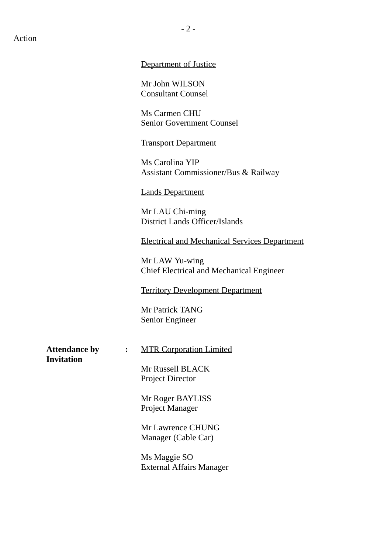#### Action

#### Department of Justice

Mr John WILSON Consultant Counsel

Ms Carmen CHU Senior Government Counsel

#### Transport Department

Ms Carolina YIP Assistant Commissioner/Bus & Railway

#### Lands Department

Mr LAU Chi-ming District Lands Officer/Islands

Electrical and Mechanical Services Department

Mr LAW Yu-wing Chief Electrical and Mechanical Engineer

Territory Development Department

Mr Patrick TANG Senior Engineer

**Invitation**

Attendance by : MTR Corporation Limited

Mr Russell BLACK Project Director

Mr Roger BAYLISS Project Manager

Mr Lawrence CHUNG Manager (Cable Car)

Ms Maggie SO External Affairs Manager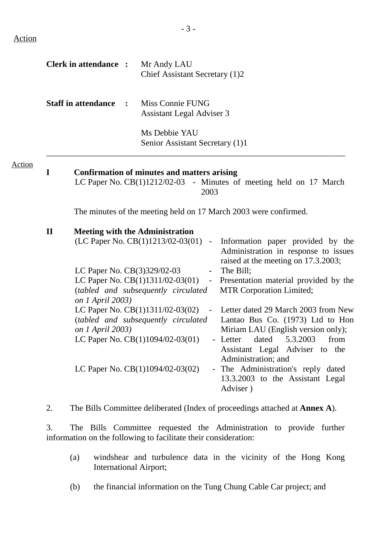Action

|                        | <b>Clerk in attendance:</b>                                         |                | Mr Andy LAU<br>Chief Assistant Secretary (1)2                                                                                                                                                                                                                         |                                    |                                                                                                                                                                                                                                                                                                                                                                                                                              |
|------------------------|---------------------------------------------------------------------|----------------|-----------------------------------------------------------------------------------------------------------------------------------------------------------------------------------------------------------------------------------------------------------------------|------------------------------------|------------------------------------------------------------------------------------------------------------------------------------------------------------------------------------------------------------------------------------------------------------------------------------------------------------------------------------------------------------------------------------------------------------------------------|
|                        | <b>Staff in attendance</b>                                          | $\ddot{\cdot}$ | Miss Connie FUNG<br>Assistant Legal Adviser 3<br>Ms Debbie YAU<br>Senior Assistant Secretary (1)1                                                                                                                                                                     |                                    |                                                                                                                                                                                                                                                                                                                                                                                                                              |
| I                      |                                                                     |                | <b>Confirmation of minutes and matters arising</b>                                                                                                                                                                                                                    | 2003                               | LC Paper No. CB(1)1212/02-03 - Minutes of meeting held on 17 March                                                                                                                                                                                                                                                                                                                                                           |
|                        |                                                                     |                |                                                                                                                                                                                                                                                                       |                                    | The minutes of the meeting held on 17 March 2003 were confirmed.                                                                                                                                                                                                                                                                                                                                                             |
| $\mathbf{I}\mathbf{I}$ | LC Paper No. CB(3)329/02-03<br>on 1 April 2003)<br>on 1 April 2003) |                | <b>Meeting with the Administration</b><br>(LC Paper No. CB(1)1213/02-03(01)<br>LC Paper No. CB(1)1311/02-03(01)<br>(tabled and subsequently circulated<br>LC Paper No. CB(1)1311/02-03(02)<br>(tabled and subsequently circulated<br>LC Paper No. CB(1)1094/02-03(01) | $\sim$<br>$\sim$<br>$\blacksquare$ | Information paper provided by the<br>Administration in response to issues<br>raised at the meeting on 17.3.2003;<br>The Bill;<br>Presentation material provided by the<br><b>MTR Corporation Limited;</b><br>Letter dated 29 March 2003 from New<br>Lantao Bus Co. (1973) Ltd to Hon<br>Miriam LAU (English version only);<br>5.3.2003<br>- Letter<br>dated<br>from<br>Assistant Legal Adviser to the<br>Administration; and |
|                        |                                                                     |                | LC Paper No. $CB(1)1094/02-03(02)$                                                                                                                                                                                                                                    |                                    | - The Administration's reply dated<br>13.3.2003 to the Assistant Legal<br>Adviser)                                                                                                                                                                                                                                                                                                                                           |

2. The Bills Committee deliberated (Index of proceedings attached at **Annex A**).

3. The Bills Committee requested the Administration to provide further information on the following to facilitate their consideration:

- (a) windshear and turbulence data in the vicinity of the Hong Kong International Airport;
- (b) the financial information on the Tung Chung Cable Car project; and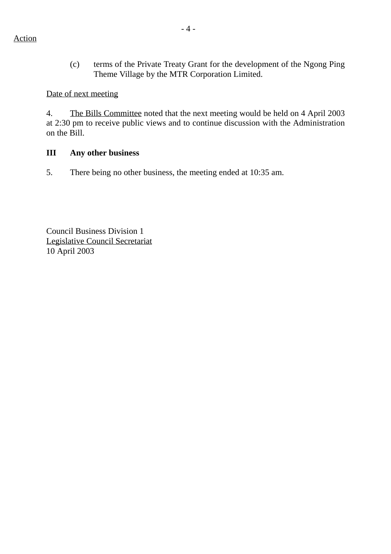(c) terms of the Private Treaty Grant for the development of the Ngong Ping Theme Village by the MTR Corporation Limited.

## Date of next meeting

4. The Bills Committee noted that the next meeting would be held on 4 April 2003 at 2:30 pm to receive public views and to continue discussion with the Administration on the Bill.

### **III Any other business**

5. There being no other business, the meeting ended at 10:35 am.

Council Business Division 1 Legislative Council Secretariat 10 April 2003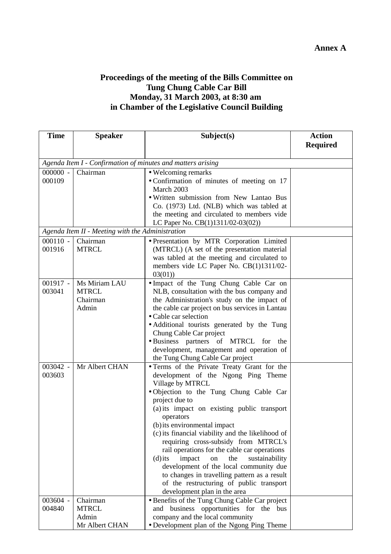# **Proceedings of the meeting of the Bills Committee on Tung Chung Cable Car Bill Monday, 31 March 2003, at 8:30 am in Chamber of the Legislative Council Building**

| <b>Time</b> | <b>Speaker</b>                                              | Subject(s)                                                                                     | <b>Action</b><br><b>Required</b> |  |  |
|-------------|-------------------------------------------------------------|------------------------------------------------------------------------------------------------|----------------------------------|--|--|
|             |                                                             |                                                                                                |                                  |  |  |
|             | Agenda Item I - Confirmation of minutes and matters arising |                                                                                                |                                  |  |  |
| $000000 -$  | Chairman                                                    | • Welcoming remarks                                                                            |                                  |  |  |
| 000109      |                                                             | • Confirmation of minutes of meeting on 17                                                     |                                  |  |  |
|             |                                                             | March 2003                                                                                     |                                  |  |  |
|             |                                                             | . Written submission from New Lantao Bus                                                       |                                  |  |  |
|             |                                                             | Co. (1973) Ltd. (NLB) which was tabled at<br>the meeting and circulated to members vide        |                                  |  |  |
|             |                                                             | LC Paper No. CB(1)1311/02-03(02))                                                              |                                  |  |  |
|             | Agenda Item II - Meeting with the Administration            |                                                                                                |                                  |  |  |
| $000110 -$  | Chairman                                                    | · Presentation by MTR Corporation Limited                                                      |                                  |  |  |
| 001916      | <b>MTRCL</b>                                                | (MTRCL) (A set of the presentation material                                                    |                                  |  |  |
|             |                                                             | was tabled at the meeting and circulated to                                                    |                                  |  |  |
|             |                                                             | members vide LC Paper No. CB(1)1311/02-                                                        |                                  |  |  |
|             |                                                             | 03(01)                                                                                         |                                  |  |  |
| $001917 -$  | Ms Miriam LAU                                               | • Impact of the Tung Chung Cable Car on                                                        |                                  |  |  |
| 003041      | <b>MTRCL</b><br>Chairman                                    | NLB, consultation with the bus company and                                                     |                                  |  |  |
|             | Admin                                                       | the Administration's study on the impact of<br>the cable car project on bus services in Lantau |                                  |  |  |
|             |                                                             | • Cable car selection                                                                          |                                  |  |  |
|             |                                                             | • Additional tourists generated by the Tung                                                    |                                  |  |  |
|             |                                                             | Chung Cable Car project                                                                        |                                  |  |  |
|             |                                                             | ·Business partners of MTRCL for<br>the                                                         |                                  |  |  |
|             |                                                             | development, management and operation of                                                       |                                  |  |  |
|             |                                                             | the Tung Chung Cable Car project                                                               |                                  |  |  |
| 003042 -    | Mr Albert CHAN                                              | • Terms of the Private Treaty Grant for the                                                    |                                  |  |  |
| 003603      |                                                             | development of the Ngong Ping Theme                                                            |                                  |  |  |
|             |                                                             | Village by MTRCL<br>. Objection to the Tung Chung Cable Car                                    |                                  |  |  |
|             |                                                             | project due to                                                                                 |                                  |  |  |
|             |                                                             | (a) its impact on existing public transport                                                    |                                  |  |  |
|             |                                                             | operators                                                                                      |                                  |  |  |
|             |                                                             | (b) its environmental impact                                                                   |                                  |  |  |
|             |                                                             | (c) its financial viability and the likelihood of                                              |                                  |  |  |
|             |                                                             | requiring cross-subsidy from MTRCL's                                                           |                                  |  |  |
|             |                                                             | rail operations for the cable car operations                                                   |                                  |  |  |
|             |                                                             | impact<br>the<br>sustainability<br>on<br>$(d)$ its                                             |                                  |  |  |
|             |                                                             | development of the local community due<br>to changes in travelling pattern as a result         |                                  |  |  |
|             |                                                             | of the restructuring of public transport                                                       |                                  |  |  |
|             |                                                             | development plan in the area                                                                   |                                  |  |  |
| 003604 -    | Chairman                                                    | • Benefits of the Tung Chung Cable Car project                                                 |                                  |  |  |
| 004840      | <b>MTRCL</b>                                                | and business opportunities for the bus                                                         |                                  |  |  |
|             | Admin                                                       | company and the local community                                                                |                                  |  |  |
|             | Mr Albert CHAN                                              | • Development plan of the Ngong Ping Theme                                                     |                                  |  |  |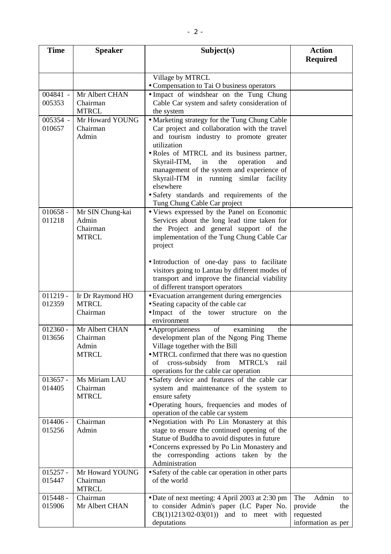| <b>Time</b>          | <b>Speaker</b>                   | Subject(s)                                                                                            | <b>Action</b><br><b>Required</b> |
|----------------------|----------------------------------|-------------------------------------------------------------------------------------------------------|----------------------------------|
|                      |                                  |                                                                                                       |                                  |
|                      |                                  | Village by MTRCL                                                                                      |                                  |
|                      |                                  | • Compensation to Tai O business operators                                                            |                                  |
| 004841 -             | Mr Albert CHAN                   | • Impact of windshear on the Tung Chung                                                               |                                  |
| 005353               | Chairman<br><b>MTRCL</b>         | Cable Car system and safety consideration of                                                          |                                  |
| 005354 -             | Mr Howard YOUNG                  | the system<br>• Marketing strategy for the Tung Chung Cable                                           |                                  |
| 010657               | Chairman                         | Car project and collaboration with the travel                                                         |                                  |
|                      | Admin                            | and tourism industry to promote greater                                                               |                                  |
|                      |                                  | utilization                                                                                           |                                  |
|                      |                                  | · Roles of MTRCL and its business partner,                                                            |                                  |
|                      |                                  | Skyrail-ITM,<br>in<br>the<br>operation<br>and                                                         |                                  |
|                      |                                  | management of the system and experience of                                                            |                                  |
|                      |                                  | Skyrail-ITM in running similar facility<br>elsewhere                                                  |                                  |
|                      |                                  | · Safety standards and requirements of the                                                            |                                  |
|                      |                                  | Tung Chung Cable Car project                                                                          |                                  |
| $010658 -$           | Mr SIN Chung-kai                 | • Views expressed by the Panel on Economic                                                            |                                  |
| 011218               | Admin                            | Services about the long lead time taken for                                                           |                                  |
|                      | Chairman                         | the Project and general support of the                                                                |                                  |
|                      | <b>MTRCL</b>                     | implementation of the Tung Chung Cable Car                                                            |                                  |
|                      |                                  | project                                                                                               |                                  |
|                      |                                  | · Introduction of one-day pass to facilitate                                                          |                                  |
|                      |                                  | visitors going to Lantau by different modes of                                                        |                                  |
|                      |                                  | transport and improve the financial viability                                                         |                                  |
|                      |                                  | of different transport operators                                                                      |                                  |
| $011219 -$<br>012359 | Ir Dr Raymond HO<br><b>MTRCL</b> | • Evacuation arrangement during emergencies<br>• Seating capacity of the cable car                    |                                  |
|                      | Chairman                         | . Impact of the tower structure on the                                                                |                                  |
|                      |                                  | environment                                                                                           |                                  |
| $012360 -$           | Mr Albert CHAN                   | • Appropriateness<br>of<br>examining<br>the                                                           |                                  |
| 013656               | Chairman                         | development plan of the Ngong Ping Theme                                                              |                                  |
|                      | Admin                            | Village together with the Bill                                                                        |                                  |
|                      | <b>MTRCL</b>                     | • MTRCL confirmed that there was no question<br>cross-subsidy<br>from<br><b>MTRCL's</b><br>οf<br>rail |                                  |
|                      |                                  | operations for the cable car operation                                                                |                                  |
| $013657 -$           | Ms Miriam LAU                    | • Safety device and features of the cable car                                                         |                                  |
| 014405               | Chairman                         | system and maintenance of the system to                                                               |                                  |
|                      | <b>MTRCL</b>                     | ensure safety                                                                                         |                                  |
|                      |                                  | •Operating hours, frequencies and modes of                                                            |                                  |
| $014406 -$           | Chairman                         | operation of the cable car system<br>• Negotiation with Po Lin Monastery at this                      |                                  |
| 015256               | Admin                            | stage to ensure the continued opening of the                                                          |                                  |
|                      |                                  | Statue of Buddha to avoid disputes in future                                                          |                                  |
|                      |                                  | • Concerns expressed by Po Lin Monastery and                                                          |                                  |
|                      |                                  | the corresponding actions taken by the                                                                |                                  |
|                      |                                  | Administration                                                                                        |                                  |
| $015257 -$<br>015447 | Mr Howard YOUNG<br>Chairman      | • Safety of the cable car operation in other parts<br>of the world                                    |                                  |
|                      | <b>MTRCL</b>                     |                                                                                                       |                                  |
| $015448 -$           | Chairman                         | • Date of next meeting: 4 April 2003 at 2:30 pm                                                       | The<br>Admin<br>to               |
| 015906               | Mr Albert CHAN                   | to consider Admin's paper (LC Paper No.                                                               | provide<br>the                   |
|                      |                                  | $CB(1)1213/02-03(01))$ and to meet with                                                               | requested                        |
|                      |                                  | deputations                                                                                           | information as per               |